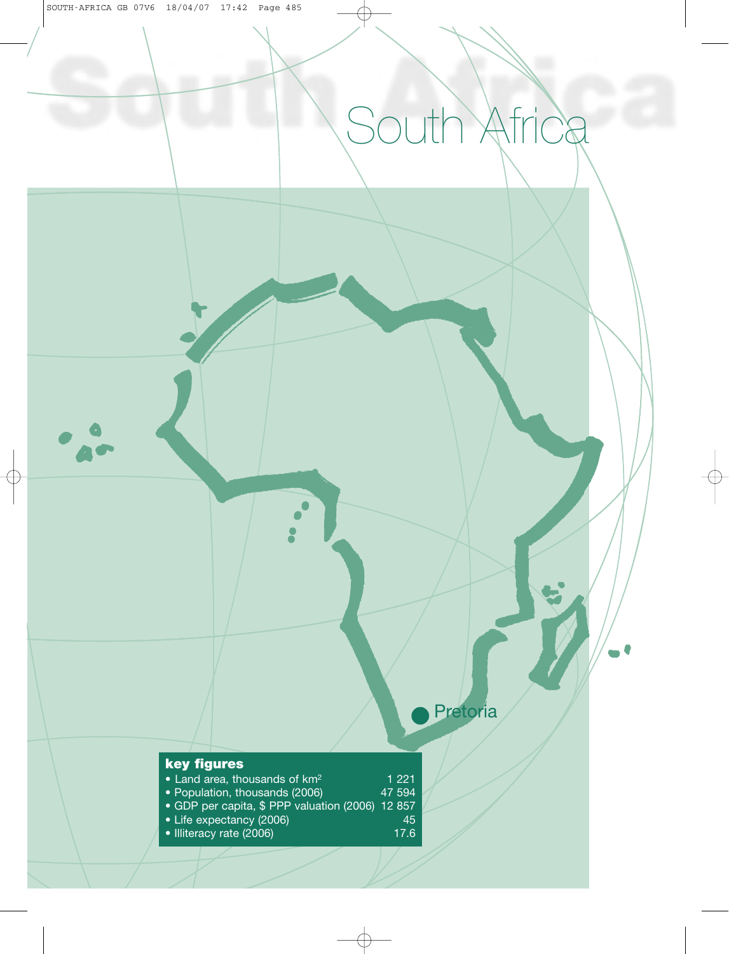# Pretoria

# **key figures**

- Land area, thousands of km<sup>2</sup> 1 221 • Population, thousands (2006) 47 594
- GDP per capita, \$ PPP valuation (2006) 12 857
- Life expectancy (2006) 45
- Illiteracy rate (2006) 17.6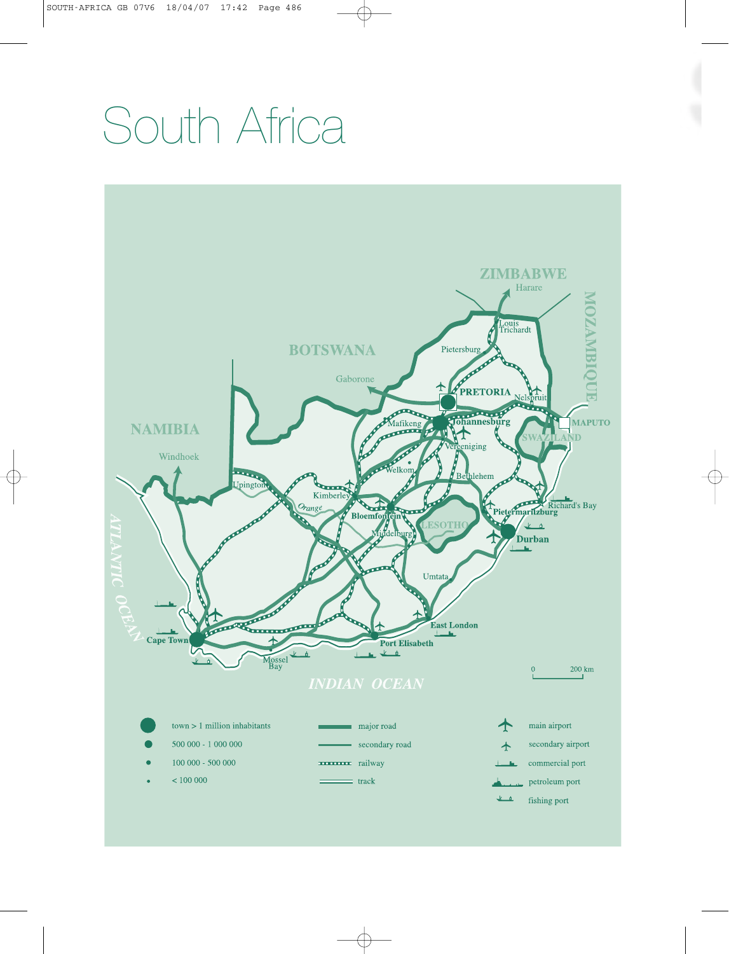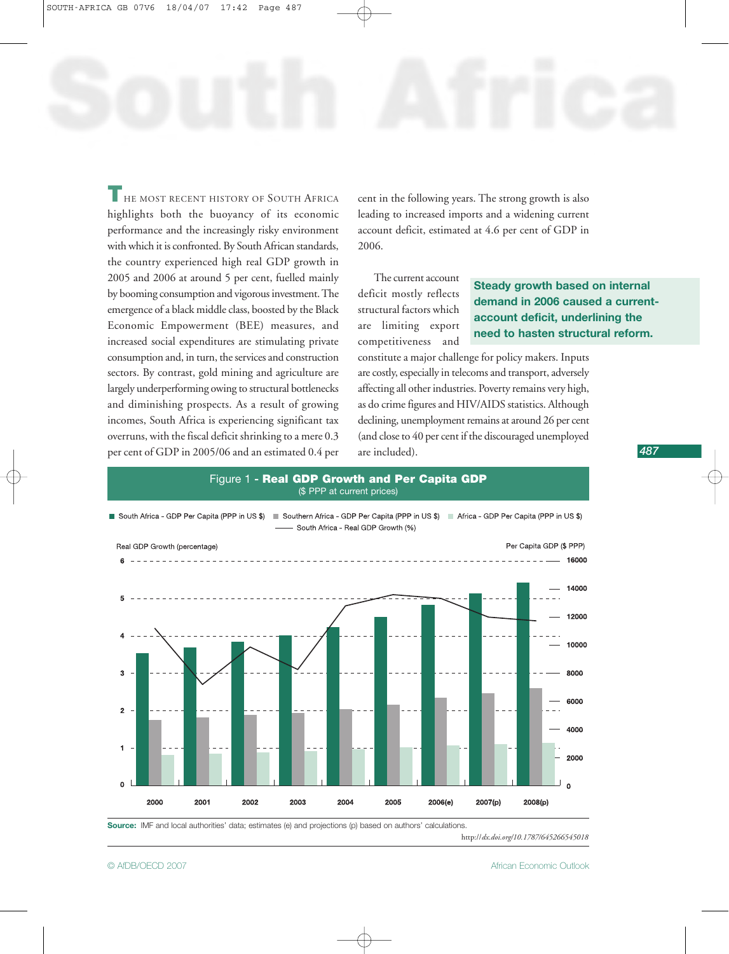**T** HE MOST RECENT HISTORY OF SOUTH AFRICA highlights both the buoyancy of its economic performance and the increasingly risky environment with which it is confronted. By South African standards, the country experienced high real GDP growth in 2005 and 2006 at around 5 per cent, fuelled mainly by booming consumption and vigorous investment. The emergence of a black middle class, boosted by the Black Economic Empowerment (BEE) measures, and increased social expenditures are stimulating private consumption and, in turn, the services and construction sectors. By contrast, gold mining and agriculture are largely underperforming owing to structural bottlenecks and diminishing prospects. As a result of growing incomes, South Africa is experiencing significant tax overruns, with the fiscal deficit shrinking to a mere 0.3 per cent of GDP in 2005/06 and an estimated 0.4 per

cent in the following years. The strong growth is also leading to increased imports and a widening current account deficit, estimated at 4.6 per cent of GDP in 2006.

The current account deficit mostly reflects structural factors which are limiting export competitiveness and

**Steady growth based on internal demand in 2006 caused a currentaccount deficit, underlining the need to hasten structural reform.**

constitute a major challenge for policy makers. Inputs are costly, especially in telecoms and transport, adversely affecting all other industries. Poverty remains very high, as do crime figures and HIV/AIDS statistics. Although declining, unemployment remains at around 26 per cent (and close to 40 per cent if the discouraged unemployed are included).

#### Figure 1 **- Real GDP Growth and Per Capita GDP** (\$ PPP at current prices)



**Source:** IMF and local authorities' data; estimates (e) and projections (p) based on authors' calculations.

http://*[dx.doi.org/10.1787/645266545018](http://dx.doi.org/10.1787/645266545018)*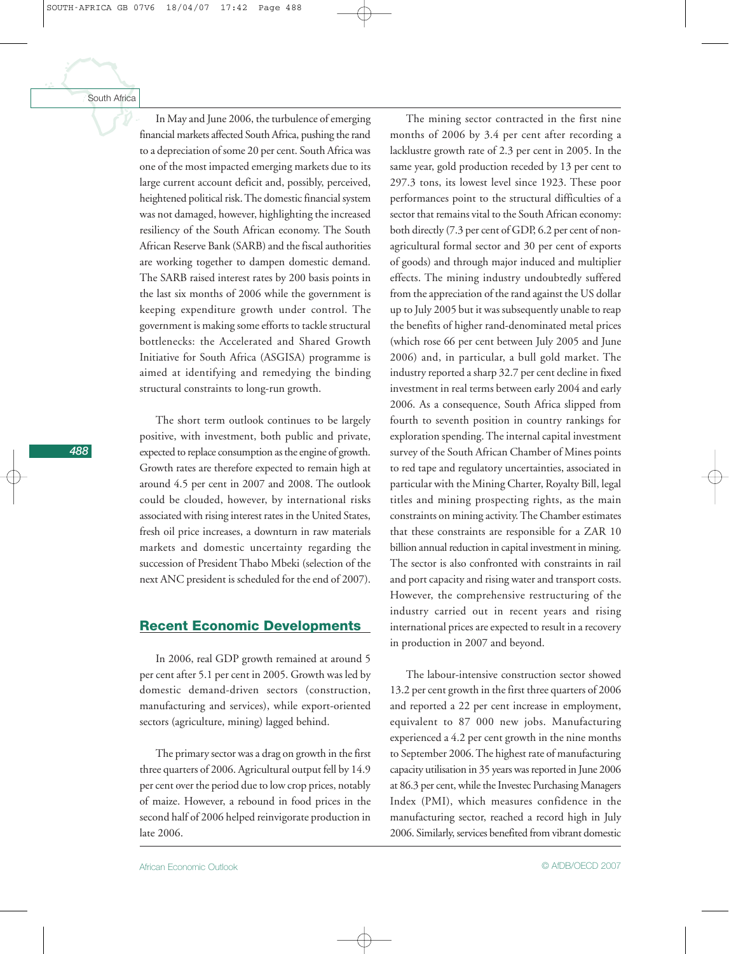In May and June 2006, the turbulence of emerging financial markets affected South Africa, pushing the rand to a depreciation of some 20 per cent. South Africa was one of the most impacted emerging markets due to its large current account deficit and, possibly, perceived, heightened political risk. The domestic financial system was not damaged, however, highlighting the increased resiliency of the South African economy. The South African Reserve Bank (SARB) and the fiscal authorities are working together to dampen domestic demand. The SARB raised interest rates by 200 basis points in the last six months of 2006 while the government is keeping expenditure growth under control. The government is making some efforts to tackle structural bottlenecks: the Accelerated and Shared Growth Initiative for South Africa (ASGISA) programme is aimed at identifying and remedying the binding structural constraints to long-run growth.

The short term outlook continues to be largely positive, with investment, both public and private, expected to replace consumption as the engine of growth. Growth rates are therefore expected to remain high at around 4.5 per cent in 2007 and 2008. The outlook could be clouded, however, by international risks associated with rising interest rates in the United States, fresh oil price increases, a downturn in raw materials markets and domestic uncertainty regarding the succession of President Thabo Mbeki (selection of the next ANC president is scheduled for the end of 2007).

### **Recent Economic Developments**

In 2006, real GDP growth remained at around 5 per cent after 5.1 per cent in 2005. Growth was led by domestic demand-driven sectors (construction, manufacturing and services), while export-oriented sectors (agriculture, mining) lagged behind.

The primary sector was a drag on growth in the first three quarters of 2006. Agricultural output fell by 14.9 per cent over the period due to low crop prices, notably of maize. However, a rebound in food prices in the second half of 2006 helped reinvigorate production in late 2006.

The mining sector contracted in the first nine months of 2006 by 3.4 per cent after recording a lacklustre growth rate of 2.3 per cent in 2005. In the same year, gold production receded by 13 per cent to 297.3 tons, its lowest level since 1923. These poor performances point to the structural difficulties of a sector that remains vital to the South African economy: both directly (7.3 per cent of GDP, 6.2 per cent of nonagricultural formal sector and 30 per cent of exports of goods) and through major induced and multiplier effects. The mining industry undoubtedly suffered from the appreciation of the rand against the US dollar up to July 2005 but it was subsequently unable to reap the benefits of higher rand-denominated metal prices (which rose 66 per cent between July 2005 and June 2006) and, in particular, a bull gold market. The industry reported a sharp 32.7 per cent decline in fixed investment in real terms between early 2004 and early 2006. As a consequence, South Africa slipped from fourth to seventh position in country rankings for exploration spending. The internal capital investment survey of the South African Chamber of Mines points to red tape and regulatory uncertainties, associated in particular with the Mining Charter, Royalty Bill, legal titles and mining prospecting rights, as the main constraints on mining activity. The Chamber estimates that these constraints are responsible for a ZAR 10 billion annual reduction in capital investment in mining. The sector is also confronted with constraints in rail and port capacity and rising water and transport costs. However, the comprehensive restructuring of the industry carried out in recent years and rising international prices are expected to result in a recovery in production in 2007 and beyond.

The labour-intensive construction sector showed 13.2 per cent growth in the first three quarters of 2006 and reported a 22 per cent increase in employment, equivalent to 87 000 new jobs. Manufacturing experienced a 4.2 per cent growth in the nine months to September 2006. The highest rate of manufacturing capacity utilisation in 35 years was reported in June 2006 at 86.3 per cent, while the Investec Purchasing Managers Index (PMI), which measures confidence in the manufacturing sector, reached a record high in July 2006. Similarly, services benefited from vibrant domestic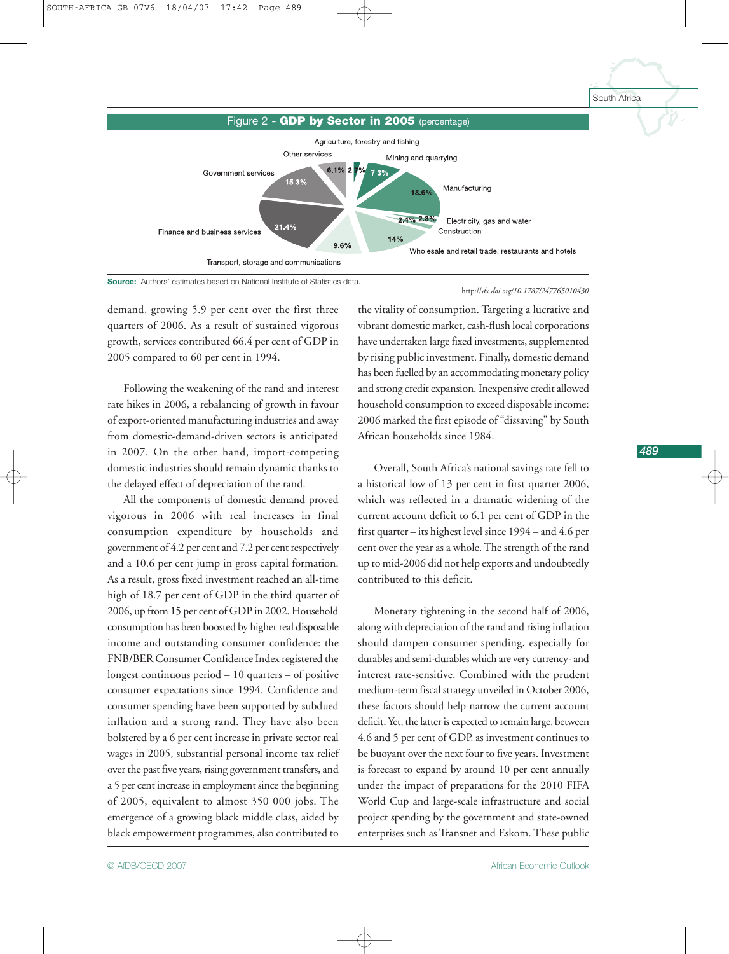



demand, growing 5.9 per cent over the first three quarters of 2006. As a result of sustained vigorous growth, services contributed 66.4 per cent of GDP in 2005 compared to 60 per cent in 1994.

Following the weakening of the rand and interest rate hikes in 2006, a rebalancing of growth in favour of export-oriented manufacturing industries and away from domestic-demand-driven sectors is anticipated in 2007. On the other hand, import-competing domestic industries should remain dynamic thanks to the delayed effect of depreciation of the rand.

All the components of domestic demand proved vigorous in 2006 with real increases in final consumption expenditure by households and government of 4.2 per cent and 7.2 per cent respectively and a 10.6 per cent jump in gross capital formation. As a result, gross fixed investment reached an all-time high of 18.7 per cent of GDP in the third quarter of 2006, up from 15 per cent of GDP in 2002. Household consumption has been boosted by higher real disposable income and outstanding consumer confidence: the FNB/BER Consumer Confidence Index registered the longest continuous period – 10 quarters – of positive consumer expectations since 1994. Confidence and consumer spending have been supported by subdued inflation and a strong rand. They have also been bolstered by a 6 per cent increase in private sector real wages in 2005, substantial personal income tax relief over the past five years, rising government transfers, and a 5 per cent increase in employment since the beginning of 2005, equivalent to almost 350 000 jobs. The emergence of a growing black middle class, aided by black empowerment programmes, also contributed to

## the vitality of consumption. Targeting a lucrative and vibrant domestic market, cash-flush local corporations have undertaken large fixed investments, supplemented by rising public investment. Finally, domestic demand has been fuelled by an accommodating monetary policy and strong credit expansion. Inexpensive credit allowed household consumption to exceed disposable income: 2006 marked the first episode of "dissaving" by South African households since 1984.

http://*[dx.doi.org/10.1787/247765010430](http://dx.doi.org/10.1787/247765010430)*

Overall, South Africa's national savings rate fell to a historical low of 13 per cent in first quarter 2006, which was reflected in a dramatic widening of the current account deficit to 6.1 per cent of GDP in the first quarter – its highest level since 1994 – and 4.6 per cent over the year as a whole. The strength of the rand up to mid-2006 did not help exports and undoubtedly contributed to this deficit.

Monetary tightening in the second half of 2006, along with depreciation of the rand and rising inflation should dampen consumer spending, especially for durables and semi-durables which are very currency- and interest rate-sensitive. Combined with the prudent medium-term fiscal strategy unveiled in October 2006, these factors should help narrow the current account deficit. Yet, the latter is expected to remain large, between 4.6 and 5 per cent of GDP, as investment continues to be buoyant over the next four to five years. Investment is forecast to expand by around 10 per cent annually under the impact of preparations for the 2010 FIFA World Cup and large-scale infrastructure and social project spending by the government and state-owned enterprises such as Transnet and Eskom. These public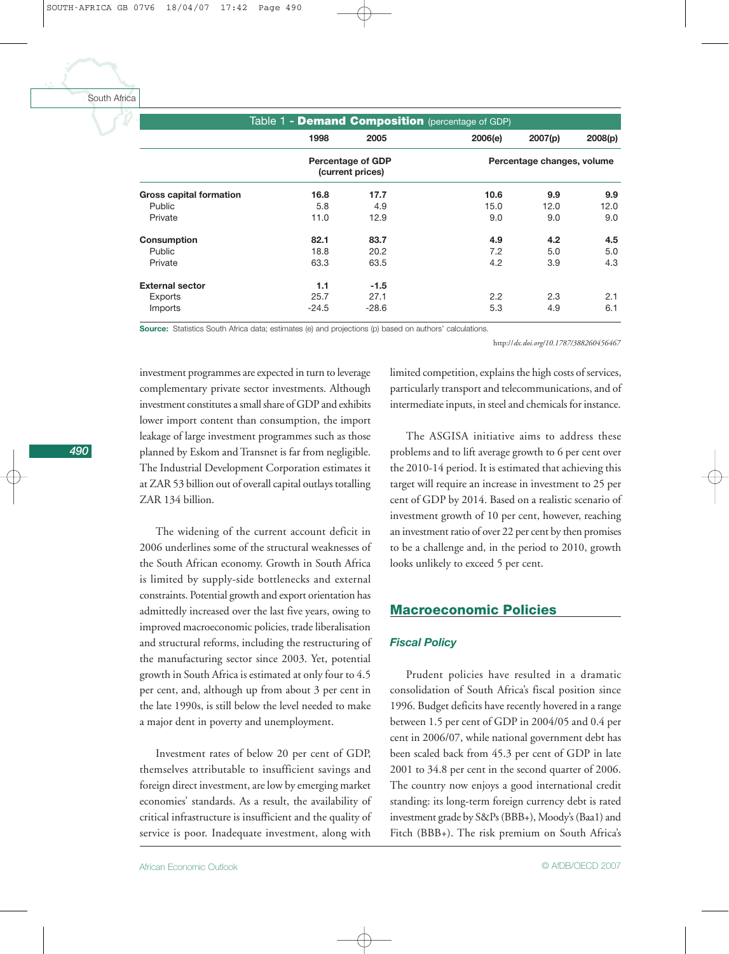| Table 1 - Demand Composition (percentage of GDP) |         |                                              |                            |         |         |  |  |
|--------------------------------------------------|---------|----------------------------------------------|----------------------------|---------|---------|--|--|
|                                                  | 1998    | 2005                                         | 2006(e)                    | 2007(p) | 2008(p) |  |  |
|                                                  |         | <b>Percentage of GDP</b><br>(current prices) | Percentage changes, volume |         |         |  |  |
| <b>Gross capital formation</b>                   | 16.8    | 17.7                                         | 10.6                       | 9.9     | 9.9     |  |  |
| Public                                           | 5.8     | 4.9                                          | 15.0                       | 12.0    | 12.0    |  |  |
| Private                                          | 11.0    | 12.9                                         | 9.0                        | 9.0     | 9.0     |  |  |
| Consumption                                      | 82.1    | 83.7                                         | 4.9                        | 4.2     | 4.5     |  |  |
| Public                                           | 18.8    | 20.2                                         | 7.2                        | 5.0     | 5.0     |  |  |
| Private                                          | 63.3    | 63.5                                         | 4.2                        | 3.9     | 4.3     |  |  |
| <b>External sector</b>                           | 1.1     | $-1.5$                                       |                            |         |         |  |  |
| Exports                                          | 25.7    | 27.1                                         | $2.2^{\circ}$              | 2.3     | 2.1     |  |  |
| Imports                                          | $-24.5$ | $-28.6$                                      | 5.3                        | 4.9     | 6.1     |  |  |

**Source:** Statistics South Africa data; estimates (e) and projections (p) based on authors' calculations.

http://*[dx.doi.org/10.1787/388260456467](http://dx.doi.org/10.1787/388260456467)*

investment programmes are expected in turn to leverage complementary private sector investments. Although investment constitutes a small share of GDP and exhibits lower import content than consumption, the import leakage of large investment programmes such as those planned by Eskom and Transnet is far from negligible. The Industrial Development Corporation estimates it at ZAR 53 billion out of overall capital outlays totalling ZAR 134 billion.

The widening of the current account deficit in 2006 underlines some of the structural weaknesses of the South African economy. Growth in South Africa is limited by supply-side bottlenecks and external constraints. Potential growth and export orientation has admittedly increased over the last five years, owing to improved macroeconomic policies, trade liberalisation and structural reforms, including the restructuring of the manufacturing sector since 2003. Yet, potential growth in South Africa is estimated at only four to 4.5 per cent, and, although up from about 3 per cent in the late 1990s, is still below the level needed to make a major dent in poverty and unemployment.

Investment rates of below 20 per cent of GDP, themselves attributable to insufficient savings and foreign direct investment, are low by emerging market economies' standards. As a result, the availability of critical infrastructure is insufficient and the quality of service is poor. Inadequate investment, along with

limited competition, explains the high costs of services, particularly transport and telecommunications, and of intermediate inputs, in steel and chemicals for instance.

The ASGISA initiative aims to address these problems and to lift average growth to 6 per cent over the 2010-14 period. It is estimated that achieving this target will require an increase in investment to 25 per cent of GDP by 2014. Based on a realistic scenario of investment growth of 10 per cent, however, reaching an investment ratio of over 22 per cent by then promises to be a challenge and, in the period to 2010, growth looks unlikely to exceed 5 per cent.

#### **Macroeconomic Policies**

#### *Fiscal Policy*

Prudent policies have resulted in a dramatic consolidation of South Africa's fiscal position since 1996. Budget deficits have recently hovered in a range between 1.5 per cent of GDP in 2004/05 and 0.4 per cent in 2006/07, while national government debt has been scaled back from 45.3 per cent of GDP in late 2001 to 34.8 per cent in the second quarter of 2006. The country now enjoys a good international credit standing: its long-term foreign currency debt is rated investment grade by S&Ps (BBB+), Moody's (Baa1) and Fitch (BBB+). The risk premium on South Africa's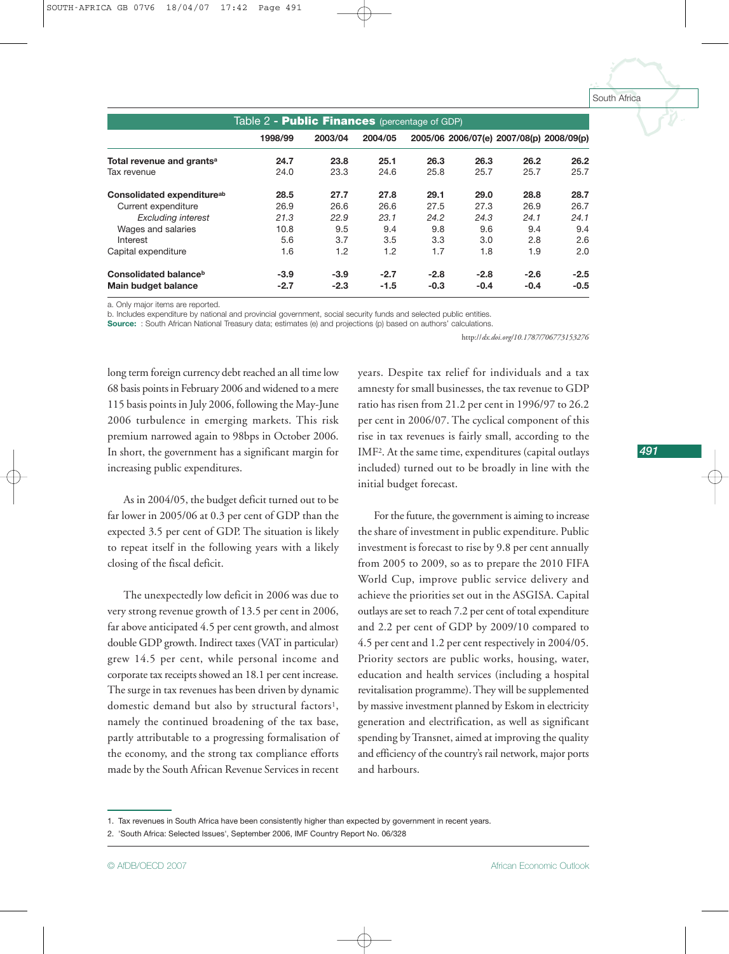| Table 2 - <b>Public Finances</b> (percentage of GDP) |         |         |         |        |        |                                          |        |
|------------------------------------------------------|---------|---------|---------|--------|--------|------------------------------------------|--------|
|                                                      | 1998/99 | 2003/04 | 2004/05 |        |        | 2005/06 2006/07(e) 2007/08(p) 2008/09(p) |        |
| Total revenue and grants <sup>a</sup>                | 24.7    | 23.8    | 25.1    | 26.3   | 26.3   | 26.2                                     | 26.2   |
| Tax revenue                                          | 24.0    | 23.3    | 24.6    | 25.8   | 25.7   | 25.7                                     | 25.7   |
| Consolidated expenditure <sup>ab</sup>               | 28.5    | 27.7    | 27.8    | 29.1   | 29.0   | 28.8                                     | 28.7   |
| Current expenditure                                  | 26.9    | 26.6    | 26.6    | 27.5   | 27.3   | 26.9                                     | 26.7   |
| <b>Excluding interest</b>                            | 21.3    | 22.9    | 23.1    | 24.2   | 24.3   | 24.1                                     | 24.1   |
| Wages and salaries                                   | 10.8    | 9.5     | 9.4     | 9.8    | 9.6    | 9.4                                      | 9.4    |
| Interest                                             | 5.6     | 3.7     | 3.5     | 3.3    | 3.0    | 2.8                                      | 2.6    |
| Capital expenditure                                  | 1.6     | 1.2     | 1.2     | 1.7    | 1.8    | 1.9                                      | 2.0    |
| Consolidated balance <sup>b</sup>                    | $-3.9$  | $-3.9$  | $-2.7$  | $-2.8$ | $-2.8$ | $-2.6$                                   | $-2.5$ |
| Main budget balance                                  | $-2.7$  | $-2.3$  | $-1.5$  | $-0.3$ | $-0.4$ | $-0.4$                                   | $-0.5$ |

a. Only major items are reported.

b. Includes expenditure by national and provincial government, social security funds and selected public entities.

**Source:** : South African National Treasury data; estimates (e) and projections (p) based on authors' calculations.

http://*[dx.doi.org/10.1787/706773153276](http://dx.doi.org/10.1787/706773153276)*

long term foreign currency debt reached an all time low 68 basis points in February 2006 and widened to a mere 115 basis points in July 2006, following the May-June 2006 turbulence in emerging markets. This risk premium narrowed again to 98bps in October 2006. In short, the government has a significant margin for increasing public expenditures.

As in 2004/05, the budget deficit turned out to be far lower in 2005/06 at 0.3 per cent of GDP than the expected 3.5 per cent of GDP. The situation is likely to repeat itself in the following years with a likely closing of the fiscal deficit.

The unexpectedly low deficit in 2006 was due to very strong revenue growth of 13.5 per cent in 2006, far above anticipated 4.5 per cent growth, and almost double GDP growth. Indirect taxes (VAT in particular) grew 14.5 per cent, while personal income and corporate tax receipts showed an 18.1 per cent increase. The surge in tax revenues has been driven by dynamic domestic demand but also by structural factors<sup>1</sup>, namely the continued broadening of the tax base, partly attributable to a progressing formalisation of the economy, and the strong tax compliance efforts made by the South African Revenue Services in recent years. Despite tax relief for individuals and a tax amnesty for small businesses, the tax revenue to GDP ratio has risen from 21.2 per cent in 1996/97 to 26.2 per cent in 2006/07. The cyclical component of this rise in tax revenues is fairly small, according to the IMF2. At the same time, expenditures (capital outlays included) turned out to be broadly in line with the initial budget forecast.

For the future, the government is aiming to increase the share of investment in public expenditure. Public investment is forecast to rise by 9.8 per cent annually from 2005 to 2009, so as to prepare the 2010 FIFA World Cup, improve public service delivery and achieve the priorities set out in the ASGISA. Capital outlays are set to reach 7.2 per cent of total expenditure and 2.2 per cent of GDP by 2009/10 compared to 4.5 per cent and 1.2 per cent respectively in 2004/05. Priority sectors are public works, housing, water, education and health services (including a hospital revitalisation programme). They will be supplemented by massive investment planned by Eskom in electricity generation and electrification, as well as significant spending by Transnet, aimed at improving the quality and efficiency of the country's rail network, major ports and harbours.

<sup>1.</sup> Tax revenues in South Africa have been consistently higher than expected by government in recent years.

<sup>2. &#</sup>x27;South Africa: Selected Issues', September 2006, IMF Country Report No. 06/328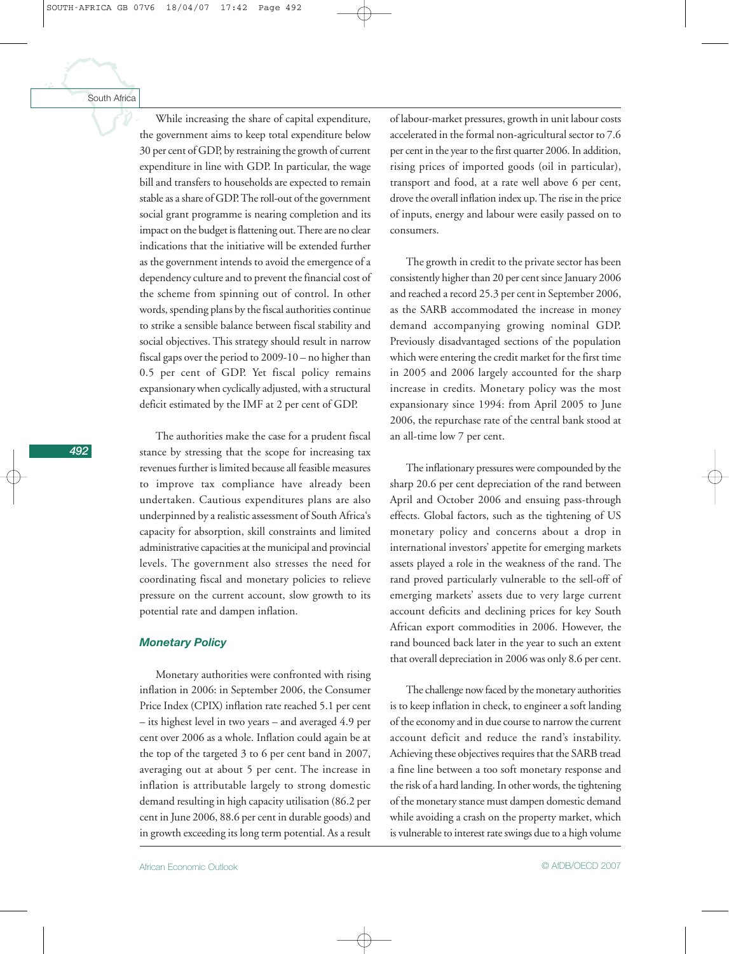While increasing the share of capital expenditure, the government aims to keep total expenditure below 30 per cent of GDP, by restraining the growth of current expenditure in line with GDP. In particular, the wage bill and transfers to households are expected to remain stable as a share of GDP. The roll-out of the government social grant programme is nearing completion and its impact on the budget is flattening out. There are no clear indications that the initiative will be extended further as the government intends to avoid the emergence of a dependency culture and to prevent the financial cost of the scheme from spinning out of control. In other words, spending plans by the fiscal authorities continue to strike a sensible balance between fiscal stability and social objectives. This strategy should result in narrow fiscal gaps over the period to 2009-10 – no higher than 0.5 per cent of GDP. Yet fiscal policy remains expansionary when cyclically adjusted, with a structural deficit estimated by the IMF at 2 per cent of GDP.

The authorities make the case for a prudent fiscal stance by stressing that the scope for increasing tax revenues further is limited because all feasible measures to improve tax compliance have already been undertaken. Cautious expenditures plans are also underpinned by a realistic assessment of South Africa's capacity for absorption, skill constraints and limited administrative capacities at the municipal and provincial levels. The government also stresses the need for coordinating fiscal and monetary policies to relieve pressure on the current account, slow growth to its potential rate and dampen inflation.

#### *Monetary Policy*

Monetary authorities were confronted with rising inflation in 2006: in September 2006, the Consumer Price Index (CPIX) inflation rate reached 5.1 per cent – its highest level in two years – and averaged 4.9 per cent over 2006 as a whole. Inflation could again be at the top of the targeted 3 to 6 per cent band in 2007, averaging out at about 5 per cent. The increase in inflation is attributable largely to strong domestic demand resulting in high capacity utilisation (86.2 per cent in June 2006, 88.6 per cent in durable goods) and in growth exceeding its long term potential. As a result

of labour-market pressures, growth in unit labour costs accelerated in the formal non-agricultural sector to 7.6 per cent in the year to the first quarter 2006. In addition, rising prices of imported goods (oil in particular), transport and food, at a rate well above 6 per cent, drove the overall inflation index up. The rise in the price of inputs, energy and labour were easily passed on to consumers.

The growth in credit to the private sector has been consistently higher than 20 per cent since January 2006 and reached a record 25.3 per cent in September 2006, as the SARB accommodated the increase in money demand accompanying growing nominal GDP. Previously disadvantaged sections of the population which were entering the credit market for the first time in 2005 and 2006 largely accounted for the sharp increase in credits. Monetary policy was the most expansionary since 1994: from April 2005 to June 2006, the repurchase rate of the central bank stood at an all-time low 7 per cent.

The inflationary pressures were compounded by the sharp 20.6 per cent depreciation of the rand between April and October 2006 and ensuing pass-through effects. Global factors, such as the tightening of US monetary policy and concerns about a drop in international investors' appetite for emerging markets assets played a role in the weakness of the rand. The rand proved particularly vulnerable to the sell-off of emerging markets' assets due to very large current account deficits and declining prices for key South African export commodities in 2006. However, the rand bounced back later in the year to such an extent that overall depreciation in 2006 was only 8.6 per cent.

The challenge now faced by the monetary authorities is to keep inflation in check, to engineer a soft landing of the economy and in due course to narrow the current account deficit and reduce the rand's instability. Achieving these objectives requires that the SARB tread a fine line between a too soft monetary response and the risk of a hard landing. In other words, the tightening of the monetary stance must dampen domestic demand while avoiding a crash on the property market, which is vulnerable to interest rate swings due to a high volume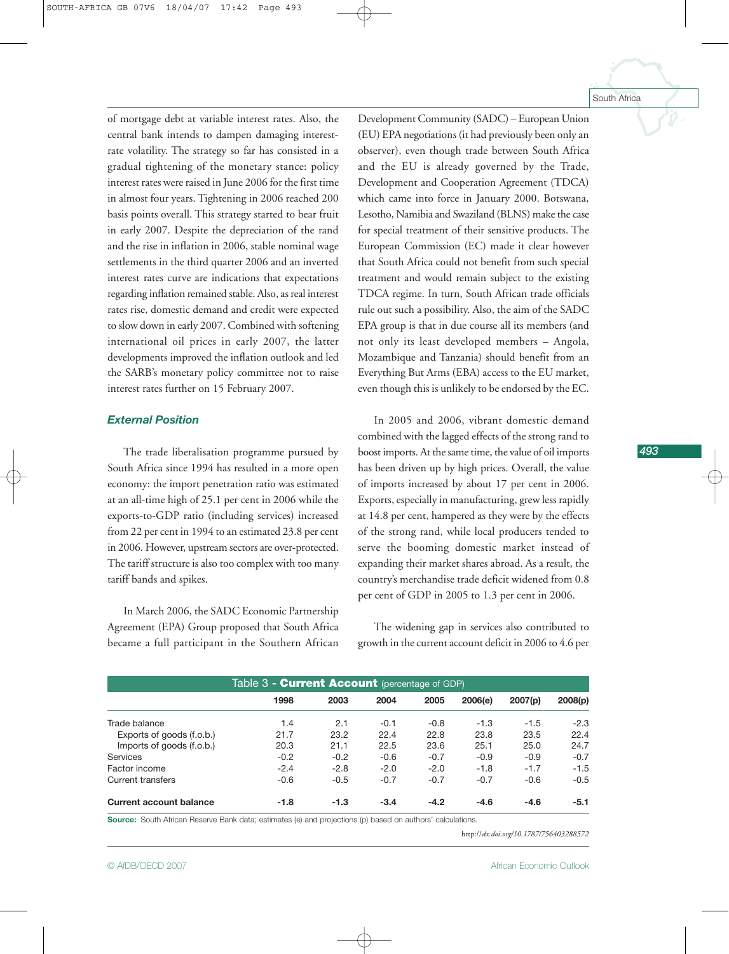of mortgage debt at variable interest rates. Also, the central bank intends to dampen damaging interestrate volatility. The strategy so far has consisted in a gradual tightening of the monetary stance: policy interest rates were raised in June 2006 for the first time in almost four years. Tightening in 2006 reached 200 basis points overall. This strategy started to bear fruit in early 2007. Despite the depreciation of the rand and the rise in inflation in 2006, stable nominal wage settlements in the third quarter 2006 and an inverted interest rates curve are indications that expectations regarding inflation remained stable. Also, as real interest rates rise, domestic demand and credit were expected to slow down in early 2007. Combined with softening international oil prices in early 2007, the latter developments improved the inflation outlook and led the SARB's monetary policy committee not to raise interest rates further on 15 February 2007.

#### *External Position*

The trade liberalisation programme pursued by South Africa since 1994 has resulted in a more open economy: the import penetration ratio was estimated at an all-time high of 25.1 per cent in 2006 while the exports-to-GDP ratio (including services) increased from 22 per cent in 1994 to an estimated 23.8 per cent in 2006. However, upstream sectors are over-protected. The tariff structure is also too complex with too many tariff bands and spikes.

In March 2006, the SADC Economic Partnership Agreement (EPA) Group proposed that South Africa became a full participant in the Southern African

Development Community (SADC) – European Union (EU) EPA negotiations (it had previously been only an observer), even though trade between South Africa and the EU is already governed by the Trade, Development and Cooperation Agreement (TDCA) which came into force in January 2000. Botswana, Lesotho, Namibia and Swaziland (BLNS) make the case for special treatment of their sensitive products. The European Commission (EC) made it clear however that South Africa could not benefit from such special treatment and would remain subject to the existing TDCA regime. In turn, South African trade officials rule out such a possibility. Also, the aim of the SADC EPA group is that in due course all its members (and not only its least developed members – Angola, Mozambique and Tanzania) should benefit from an Everything But Arms (EBA) access to the EU market, even though this is unlikely to be endorsed by the EC.

In 2005 and 2006, vibrant domestic demand combined with the lagged effects of the strong rand to boost imports. At the same time, the value of oil imports has been driven up by high prices. Overall, the value of imports increased by about 17 per cent in 2006. Exports, especially in manufacturing, grew less rapidly at 14.8 per cent, hampered as they were by the effects of the strong rand, while local producers tended to serve the booming domestic market instead of expanding their market shares abroad. As a result, the country's merchandise trade deficit widened from 0.8 per cent of GDP in 2005 to 1.3 per cent in 2006.

The widening gap in services also contributed to growth in the current account deficit in 2006 to 4.6 per

| Table 3 - <b>Current Account</b> (percentage of GDP) |        |        |        |        |         |         |         |
|------------------------------------------------------|--------|--------|--------|--------|---------|---------|---------|
|                                                      | 1998   | 2003   | 2004   | 2005   | 2006(e) | 2007(p) | 2008(p) |
| Trade balance                                        | 1.4    | 2.1    | $-0.1$ | $-0.8$ | $-1.3$  | $-1.5$  | $-2.3$  |
| Exports of goods (f.o.b.)                            | 21.7   | 23.2   | 22.4   | 22.8   | 23.8    | 23.5    | 22.4    |
| Imports of goods (f.o.b.)                            | 20.3   | 21.1   | 22.5   | 23.6   | 25.1    | 25.0    | 24.7    |
| <b>Services</b>                                      | $-0.2$ | $-0.2$ | $-0.6$ | $-0.7$ | $-0.9$  | $-0.9$  | $-0.7$  |
| Factor income                                        | $-2.4$ | $-2.8$ | $-2.0$ | $-2.0$ | $-1.8$  | $-1.7$  | $-1.5$  |
| <b>Current transfers</b>                             | $-0.6$ | $-0.5$ | $-0.7$ | $-0.7$ | $-0.7$  | $-0.6$  | $-0.5$  |
| <b>Current account balance</b>                       | $-1.8$ | $-1.3$ | $-3.4$ | $-4.2$ | $-4.6$  | $-4.6$  | $-5.1$  |

**Source:** South African Reserve Bank data; estimates (e) and projections (p) based on authors' calculations.

http://*[dx.doi.org/10.1787/756403288572](http://dx.doi.org/10.1787/756403288572)*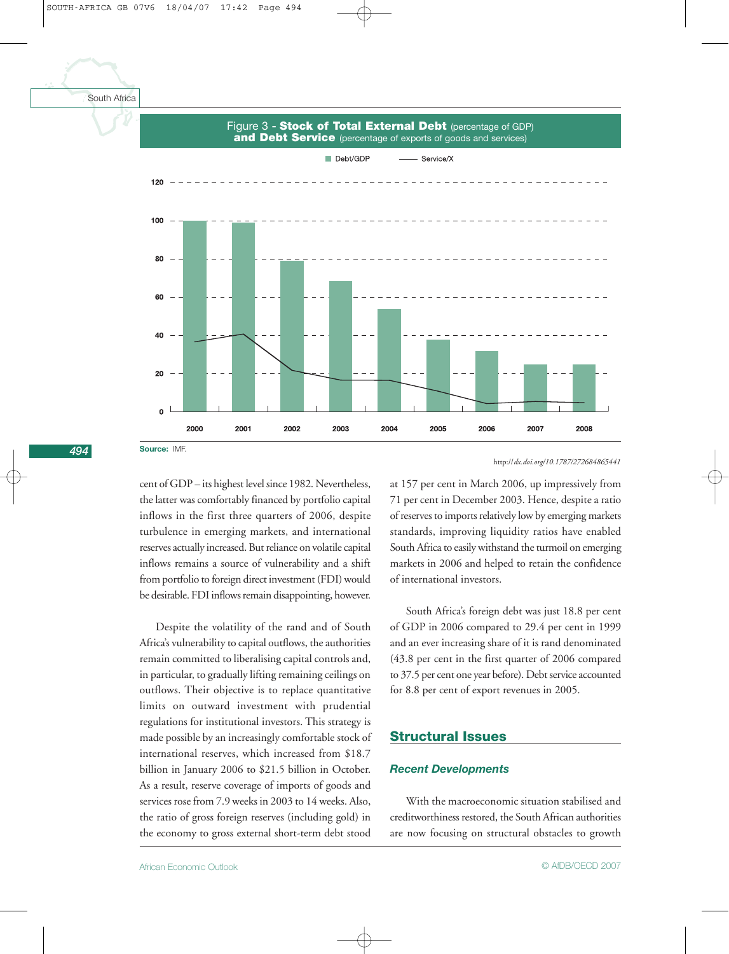

Figure 3 **- Stock of Total External Debt** (percentage of GDP)

*494*

**Source:** IMF.

cent of GDP – its highest level since 1982. Nevertheless, the latter was comfortably financed by portfolio capital inflows in the first three quarters of 2006, despite turbulence in emerging markets, and international reserves actually increased. But reliance on volatile capital inflows remains a source of vulnerability and a shift from portfolio to foreign direct investment (FDI) would be desirable. FDI inflows remain disappointing, however.

Despite the volatility of the rand and of South Africa's vulnerability to capital outflows, the authorities remain committed to liberalising capital controls and, in particular, to gradually lifting remaining ceilings on outflows. Their objective is to replace quantitative limits on outward investment with prudential regulations for institutional investors. This strategy is made possible by an increasingly comfortable stock of international reserves, which increased from \$18.7 billion in January 2006 to \$21.5 billion in October. As a result, reserve coverage of imports of goods and services rose from 7.9 weeks in 2003 to 14 weeks. Also, the ratio of gross foreign reserves (including gold) in the economy to gross external short-term debt stood

http://*[dx.doi.org/10.1787/272684865441](http://dx.doi.org/10.1787/272684865441)*

at 157 per cent in March 2006, up impressively from 71 per cent in December 2003. Hence, despite a ratio of reserves to imports relatively low by emerging markets standards, improving liquidity ratios have enabled South Africa to easily withstand the turmoil on emerging markets in 2006 and helped to retain the confidence of international investors.

South Africa's foreign debt was just 18.8 per cent of GDP in 2006 compared to 29.4 per cent in 1999 and an ever increasing share of it is rand denominated (43.8 per cent in the first quarter of 2006 compared to 37.5 per cent one year before). Debt service accounted for 8.8 per cent of export revenues in 2005.

#### **Structural Issues**

#### *Recent Developments*

With the macroeconomic situation stabilised and creditworthiness restored, the South African authorities are now focusing on structural obstacles to growth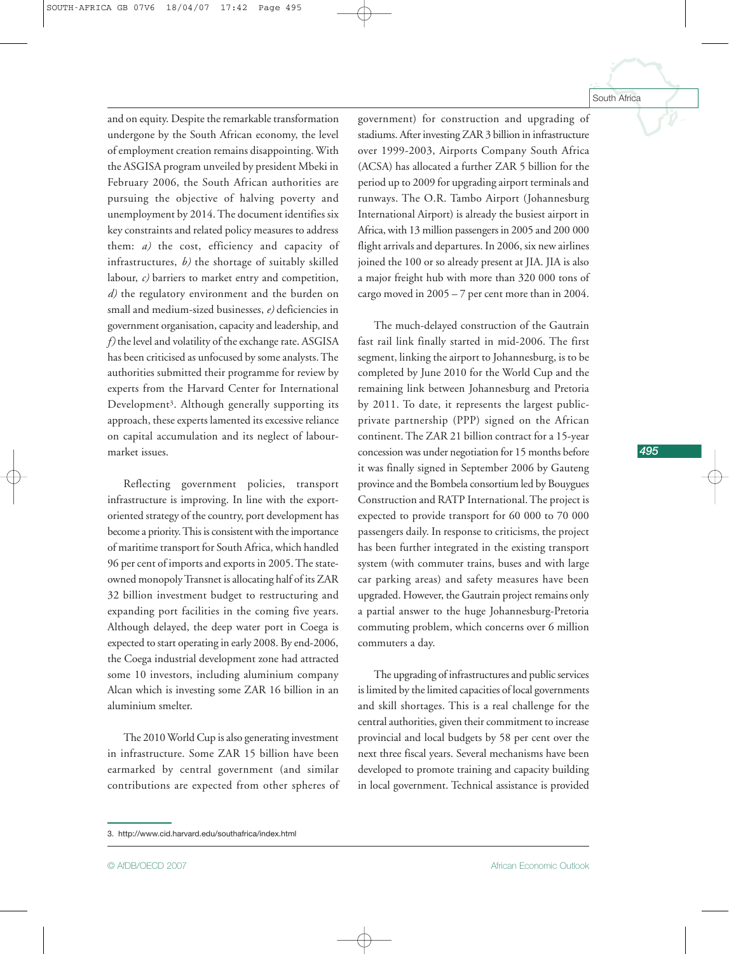and on equity. Despite the remarkable transformation undergone by the South African economy, the level of employment creation remains disappointing. With the ASGISA program unveiled by president Mbeki in February 2006, the South African authorities are pursuing the objective of halving poverty and unemployment by 2014. The document identifies six key constraints and related policy measures to address them: *a)* the cost, efficiency and capacity of infrastructures, *b)* the shortage of suitably skilled labour, *c*) barriers to market entry and competition, *d)* the regulatory environment and the burden on small and medium-sized businesses, *e)* deficiencies in government organisation, capacity and leadership, and *f)* the level and volatility of the exchange rate. ASGISA has been criticised as unfocused by some analysts. The authorities submitted their programme for review by experts from the Harvard Center for International Development3. Although generally supporting its approach, these experts lamented its excessive reliance on capital accumulation and its neglect of labourmarket issues.

Reflecting government policies, transport infrastructure is improving. In line with the exportoriented strategy of the country, port development has become a priority. This is consistent with the importance of maritime transport for South Africa, which handled 96 per cent of imports and exports in 2005. The stateowned monopoly Transnet is allocating half of its ZAR 32 billion investment budget to restructuring and expanding port facilities in the coming five years. Although delayed, the deep water port in Coega is expected to start operating in early 2008. By end-2006, the Coega industrial development zone had attracted some 10 investors, including aluminium company Alcan which is investing some ZAR 16 billion in an aluminium smelter.

The 2010 World Cup is also generating investment in infrastructure. Some ZAR 15 billion have been earmarked by central government (and similar contributions are expected from other spheres of government) for construction and upgrading of stadiums. After investing ZAR 3 billion in infrastructure over 1999-2003, Airports Company South Africa (ACSA) has allocated a further ZAR 5 billion for the period up to 2009 for upgrading airport terminals and runways. The O.R. Tambo Airport (Johannesburg International Airport) is already the busiest airport in Africa, with 13 million passengers in 2005 and 200 000 flight arrivals and departures. In 2006, six new airlines joined the 100 or so already present at JIA. JIA is also a major freight hub with more than 320 000 tons of cargo moved in 2005 – 7 per cent more than in 2004.

The much-delayed construction of the Gautrain fast rail link finally started in mid-2006. The first segment, linking the airport to Johannesburg, is to be completed by June 2010 for the World Cup and the remaining link between Johannesburg and Pretoria by 2011. To date, it represents the largest publicprivate partnership (PPP) signed on the African continent. The ZAR 21 billion contract for a 15-year concession was under negotiation for 15 months before it was finally signed in September 2006 by Gauteng province and the Bombela consortium led by Bouygues Construction and RATP International. The project is expected to provide transport for 60 000 to 70 000 passengers daily. In response to criticisms, the project has been further integrated in the existing transport system (with commuter trains, buses and with large car parking areas) and safety measures have been upgraded. However, the Gautrain project remains only a partial answer to the huge Johannesburg-Pretoria commuting problem, which concerns over 6 million commuters a day.

The upgrading of infrastructures and public services is limited by the limited capacities of local governments and skill shortages. This is a real challenge for the central authorities, given their commitment to increase provincial and local budgets by 58 per cent over the next three fiscal years. Several mechanisms have been developed to promote training and capacity building in local government. Technical assistance is provided

<sup>3.</sup><http://www.cid.harvard.edu/southafrica/index.html>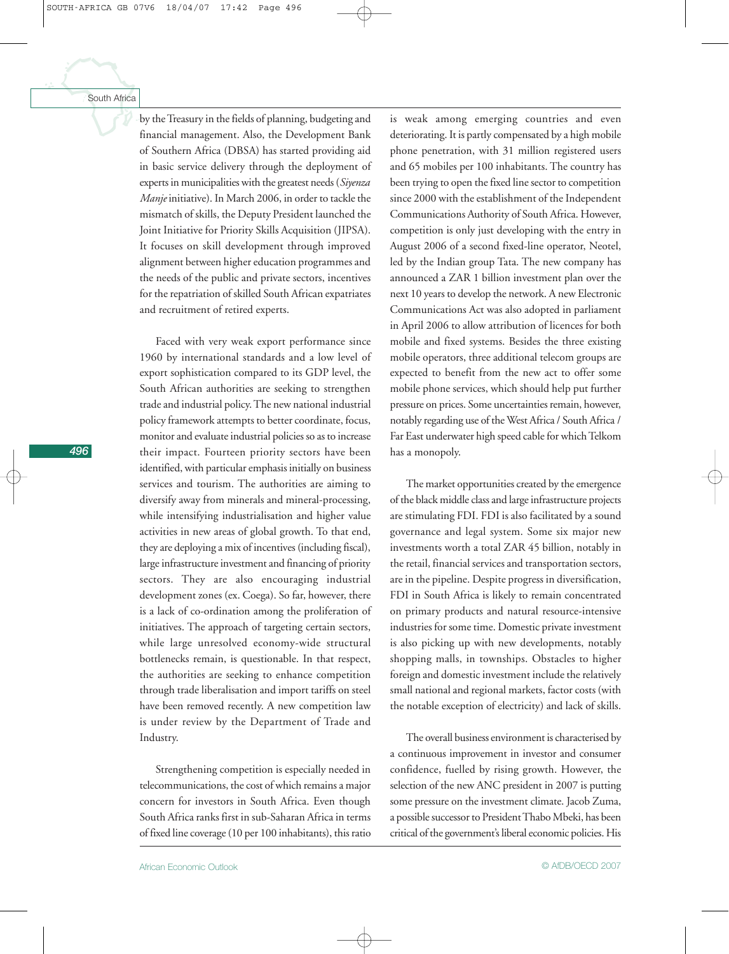by the Treasury in the fields of planning, budgeting and financial management. Also, the Development Bank of Southern Africa (DBSA) has started providing aid in basic service delivery through the deployment of experts in municipalities with the greatest needs (*Siyenza Manje* initiative). In March 2006, in order to tackle the mismatch of skills, the Deputy President launched the Joint Initiative for Priority Skills Acquisition (JIPSA). It focuses on skill development through improved alignment between higher education programmes and the needs of the public and private sectors, incentives for the repatriation of skilled South African expatriates and recruitment of retired experts.

Faced with very weak export performance since 1960 by international standards and a low level of export sophistication compared to its GDP level, the South African authorities are seeking to strengthen trade and industrial policy. The new national industrial policy framework attempts to better coordinate, focus, monitor and evaluate industrial policies so as to increase their impact. Fourteen priority sectors have been identified, with particular emphasis initially on business services and tourism. The authorities are aiming to diversify away from minerals and mineral-processing, while intensifying industrialisation and higher value activities in new areas of global growth. To that end, they are deploying a mix of incentives (including fiscal), large infrastructure investment and financing of priority sectors. They are also encouraging industrial development zones (ex. Coega). So far, however, there is a lack of co-ordination among the proliferation of initiatives. The approach of targeting certain sectors, while large unresolved economy-wide structural bottlenecks remain, is questionable. In that respect, the authorities are seeking to enhance competition through trade liberalisation and import tariffs on steel have been removed recently. A new competition law is under review by the Department of Trade and Industry.

Strengthening competition is especially needed in telecommunications, the cost of which remains a major concern for investors in South Africa. Even though South Africa ranks first in sub-Saharan Africa in terms of fixed line coverage (10 per 100 inhabitants), this ratio

is weak among emerging countries and even deteriorating. It is partly compensated by a high mobile phone penetration, with 31 million registered users and 65 mobiles per 100 inhabitants. The country has been trying to open the fixed line sector to competition since 2000 with the establishment of the Independent Communications Authority of South Africa. However, competition is only just developing with the entry in August 2006 of a second fixed-line operator, Neotel, led by the Indian group Tata. The new company has announced a ZAR 1 billion investment plan over the next 10 years to develop the network. A new Electronic Communications Act was also adopted in parliament in April 2006 to allow attribution of licences for both mobile and fixed systems. Besides the three existing mobile operators, three additional telecom groups are expected to benefit from the new act to offer some mobile phone services, which should help put further pressure on prices. Some uncertainties remain, however, notably regarding use of the West Africa / South Africa / Far East underwater high speed cable for which Telkom has a monopoly.

The market opportunities created by the emergence of the black middle class and large infrastructure projects are stimulating FDI. FDI is also facilitated by a sound governance and legal system. Some six major new investments worth a total ZAR 45 billion, notably in the retail, financial services and transportation sectors, are in the pipeline. Despite progress in diversification, FDI in South Africa is likely to remain concentrated on primary products and natural resource-intensive industries for some time. Domestic private investment is also picking up with new developments, notably shopping malls, in townships. Obstacles to higher foreign and domestic investment include the relatively small national and regional markets, factor costs (with the notable exception of electricity) and lack of skills.

The overall business environment is characterised by a continuous improvement in investor and consumer confidence, fuelled by rising growth. However, the selection of the new ANC president in 2007 is putting some pressure on the investment climate. Jacob Zuma, a possible successor to President Thabo Mbeki, has been critical of the government's liberal economic policies. His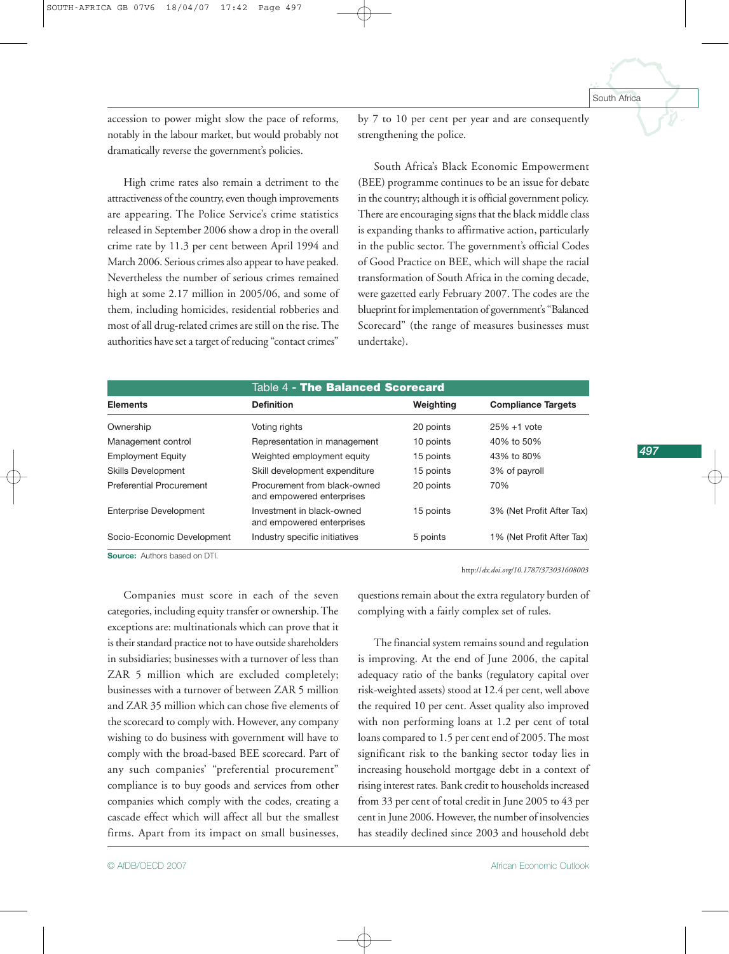accession to power might slow the pace of reforms, notably in the labour market, but would probably not dramatically reverse the government's policies.

High crime rates also remain a detriment to the attractiveness of the country, even though improvements are appearing. The Police Service's crime statistics released in September 2006 show a drop in the overall crime rate by 11.3 per cent between April 1994 and March 2006. Serious crimes also appear to have peaked. Nevertheless the number of serious crimes remained high at some 2.17 million in 2005/06, and some of them, including homicides, residential robberies and most of all drug-related crimes are still on the rise. The authorities have set a target of reducing "contact crimes"

by 7 to 10 per cent per year and are consequently strengthening the police.

South Africa's Black Economic Empowerment (BEE) programme continues to be an issue for debate in the country; although it is official government policy. There are encouraging signs that the black middle class is expanding thanks to affirmative action, particularly in the public sector. The government's official Codes of Good Practice on BEE, which will shape the racial transformation of South Africa in the coming decade, were gazetted early February 2007. The codes are the blueprint for implementation of government's "Balanced Scorecard" (the range of measures businesses must undertake).

| Table 4 - The Balanced Scorecard |                                                           |           |                           |  |  |
|----------------------------------|-----------------------------------------------------------|-----------|---------------------------|--|--|
| <b>Elements</b>                  | <b>Definition</b>                                         | Weighting | <b>Compliance Targets</b> |  |  |
| Ownership                        | Voting rights                                             | 20 points | $25\% + 1$ vote           |  |  |
| Management control               | Representation in management                              | 10 points | 40% to 50%                |  |  |
| <b>Employment Equity</b>         | Weighted employment equity                                | 15 points | 43% to 80%                |  |  |
| <b>Skills Development</b>        | Skill development expenditure                             | 15 points | 3% of payroll             |  |  |
| <b>Preferential Procurement</b>  | Procurement from black-owned<br>and empowered enterprises | 20 points | 70%                       |  |  |
| <b>Enterprise Development</b>    | Investment in black-owned<br>and empowered enterprises    | 15 points | 3% (Net Profit After Tax) |  |  |
| Socio-Economic Development       | Industry specific initiatives                             | 5 points  | 1% (Net Profit After Tax) |  |  |

**Source:** Authors based on DTI.

Companies must score in each of the seven categories, including equity transfer or ownership. The exceptions are: multinationals which can prove that it is their standard practice not to have outside shareholders in subsidiaries; businesses with a turnover of less than ZAR 5 million which are excluded completely; businesses with a turnover of between ZAR 5 million and ZAR 35 million which can chose five elements of the scorecard to comply with. However, any company wishing to do business with government will have to comply with the broad-based BEE scorecard. Part of any such companies' "preferential procurement" compliance is to buy goods and services from other companies which comply with the codes, creating a cascade effect which will affect all but the smallest firms. Apart from its impact on small businesses,

http://*[dx.doi.org/10.1787/373031608003](http://dx.doi.org/10.1787/373031608003)*

questions remain about the extra regulatory burden of complying with a fairly complex set of rules.

The financial system remains sound and regulation is improving. At the end of June 2006, the capital adequacy ratio of the banks (regulatory capital over risk-weighted assets) stood at 12.4 per cent, well above the required 10 per cent. Asset quality also improved with non performing loans at 1.2 per cent of total loans compared to 1.5 per cent end of 2005. The most significant risk to the banking sector today lies in increasing household mortgage debt in a context of rising interest rates. Bank credit to households increased from 33 per cent of total credit in June 2005 to 43 per cent in June 2006. However, the number of insolvencies has steadily declined since 2003 and household debt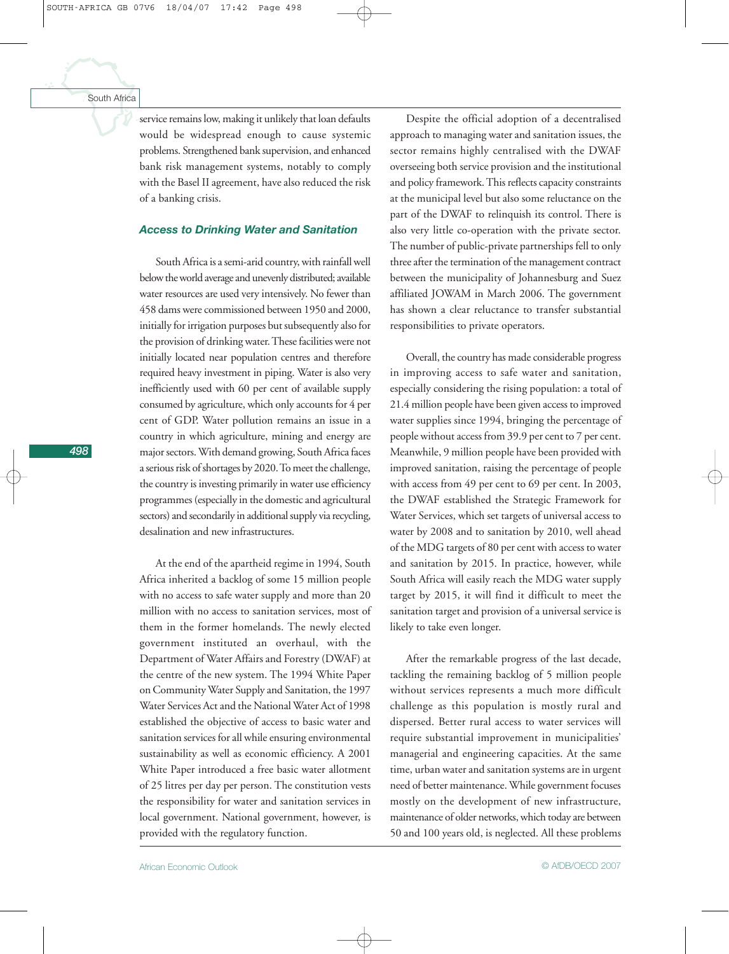service remains low, making it unlikely that loan defaults would be widespread enough to cause systemic problems. Strengthened bank supervision, and enhanced bank risk management systems, notably to comply with the Basel II agreement, have also reduced the risk of a banking crisis.

#### *Access to Drinking Water and Sanitation*

South Africa is a semi-arid country, with rainfall well below the world average and unevenly distributed; available water resources are used very intensively. No fewer than 458 dams were commissioned between 1950 and 2000, initially for irrigation purposes but subsequently also for the provision of drinking water. These facilities were not initially located near population centres and therefore required heavy investment in piping. Water is also very inefficiently used with 60 per cent of available supply consumed by agriculture, which only accounts for 4 per cent of GDP. Water pollution remains an issue in a country in which agriculture, mining and energy are major sectors. With demand growing, South Africa faces a serious risk of shortages by 2020. To meet the challenge, the country is investing primarily in water use efficiency programmes (especially in the domestic and agricultural sectors) and secondarily in additional supply via recycling, desalination and new infrastructures.

At the end of the apartheid regime in 1994, South Africa inherited a backlog of some 15 million people with no access to safe water supply and more than 20 million with no access to sanitation services, most of them in the former homelands. The newly elected government instituted an overhaul, with the Department of Water Affairs and Forestry (DWAF) at the centre of the new system. The 1994 White Paper on Community Water Supply and Sanitation, the 1997 Water Services Act and the National Water Act of 1998 established the objective of access to basic water and sanitation services for all while ensuring environmental sustainability as well as economic efficiency. A 2001 White Paper introduced a free basic water allotment of 25 litres per day per person. The constitution vests the responsibility for water and sanitation services in local government. National government, however, is provided with the regulatory function.

Despite the official adoption of a decentralised approach to managing water and sanitation issues, the sector remains highly centralised with the DWAF overseeing both service provision and the institutional and policy framework. This reflects capacity constraints at the municipal level but also some reluctance on the part of the DWAF to relinquish its control. There is also very little co-operation with the private sector. The number of public-private partnerships fell to only three after the termination of the management contract between the municipality of Johannesburg and Suez affiliated JOWAM in March 2006. The government has shown a clear reluctance to transfer substantial responsibilities to private operators.

Overall, the country has made considerable progress in improving access to safe water and sanitation, especially considering the rising population: a total of 21.4 million people have been given access to improved water supplies since 1994, bringing the percentage of people without access from 39.9 per cent to 7 per cent. Meanwhile, 9 million people have been provided with improved sanitation, raising the percentage of people with access from 49 per cent to 69 per cent. In 2003, the DWAF established the Strategic Framework for Water Services, which set targets of universal access to water by 2008 and to sanitation by 2010, well ahead of the MDG targets of 80 per cent with access to water and sanitation by 2015. In practice, however, while South Africa will easily reach the MDG water supply target by 2015, it will find it difficult to meet the sanitation target and provision of a universal service is likely to take even longer.

After the remarkable progress of the last decade, tackling the remaining backlog of 5 million people without services represents a much more difficult challenge as this population is mostly rural and dispersed. Better rural access to water services will require substantial improvement in municipalities' managerial and engineering capacities. At the same time, urban water and sanitation systems are in urgent need of better maintenance. While government focuses mostly on the development of new infrastructure, maintenance of older networks, which today are between 50 and 100 years old, is neglected. All these problems

*498*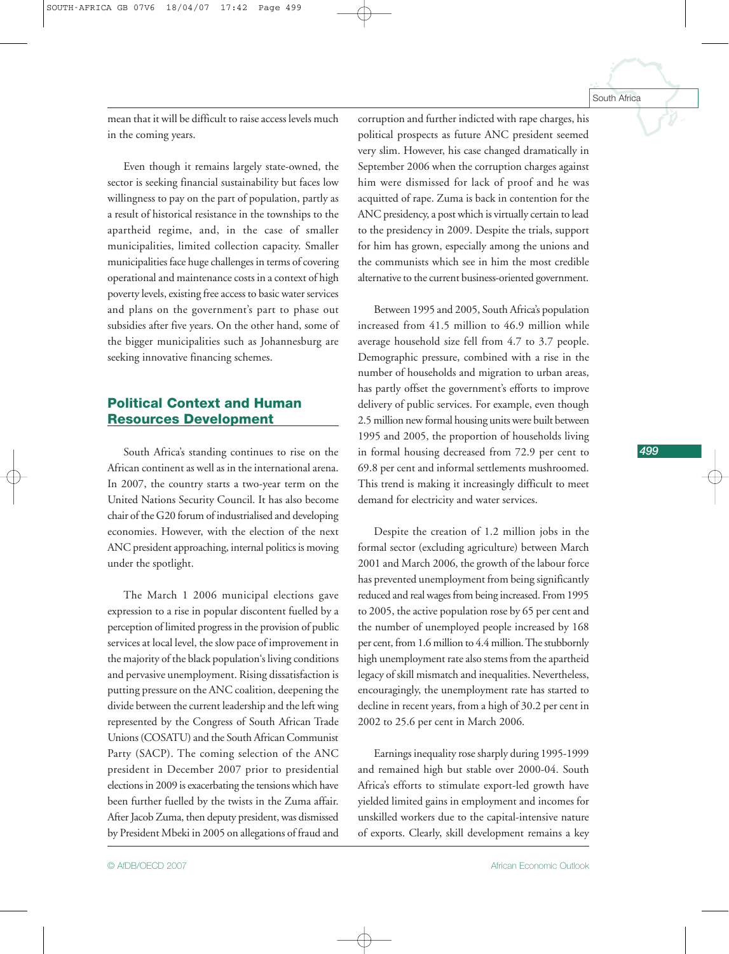mean that it will be difficult to raise access levels much in the coming years.

Even though it remains largely state-owned, the sector is seeking financial sustainability but faces low willingness to pay on the part of population, partly as a result of historical resistance in the townships to the apartheid regime, and, in the case of smaller municipalities, limited collection capacity. Smaller municipalities face huge challenges in terms of covering operational and maintenance costs in a context of high poverty levels, existing free access to basic water services and plans on the government's part to phase out subsidies after five years. On the other hand, some of the bigger municipalities such as Johannesburg are seeking innovative financing schemes.

## **Political Context and Human Resources Development**

South Africa's standing continues to rise on the African continent as well as in the international arena. In 2007, the country starts a two-year term on the United Nations Security Council. It has also become chair of the G20 forum of industrialised and developing economies. However, with the election of the next ANC president approaching, internal politics is moving under the spotlight.

The March 1 2006 municipal elections gave expression to a rise in popular discontent fuelled by a perception of limited progress in the provision of public services at local level, the slow pace of improvement in the majority of the black population's living conditions and pervasive unemployment. Rising dissatisfaction is putting pressure on the ANC coalition, deepening the divide between the current leadership and the left wing represented by the Congress of South African Trade Unions (COSATU) and the South African Communist Party (SACP). The coming selection of the ANC president in December 2007 prior to presidential elections in 2009 is exacerbating the tensions which have been further fuelled by the twists in the Zuma affair. After Jacob Zuma, then deputy president, was dismissed by President Mbeki in 2005 on allegations of fraud and corruption and further indicted with rape charges, his political prospects as future ANC president seemed very slim. However, his case changed dramatically in September 2006 when the corruption charges against him were dismissed for lack of proof and he was acquitted of rape. Zuma is back in contention for the ANC presidency, a post which is virtually certain to lead to the presidency in 2009. Despite the trials, support for him has grown, especially among the unions and the communists which see in him the most credible alternative to the current business-oriented government.

Between 1995 and 2005, South Africa's population increased from 41.5 million to 46.9 million while average household size fell from 4.7 to 3.7 people. Demographic pressure, combined with a rise in the number of households and migration to urban areas, has partly offset the government's efforts to improve delivery of public services. For example, even though 2.5 million new formal housing units were built between 1995 and 2005, the proportion of households living in formal housing decreased from 72.9 per cent to 69.8 per cent and informal settlements mushroomed. This trend is making it increasingly difficult to meet demand for electricity and water services.

Despite the creation of 1.2 million jobs in the formal sector (excluding agriculture) between March 2001 and March 2006, the growth of the labour force has prevented unemployment from being significantly reduced and real wages from being increased. From 1995 to 2005, the active population rose by 65 per cent and the number of unemployed people increased by 168 per cent, from 1.6 million to 4.4 million. The stubbornly high unemployment rate also stems from the apartheid legacy of skill mismatch and inequalities. Nevertheless, encouragingly, the unemployment rate has started to decline in recent years, from a high of 30.2 per cent in 2002 to 25.6 per cent in March 2006.

Earnings inequality rose sharply during 1995-1999 and remained high but stable over 2000-04. South Africa's efforts to stimulate export-led growth have yielded limited gains in employment and incomes for unskilled workers due to the capital-intensive nature of exports. Clearly, skill development remains a key